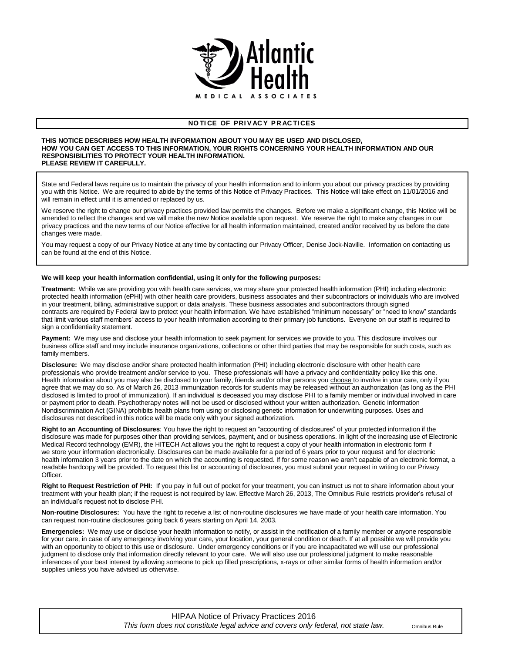

## **NO TI CE OF PRI V AC Y PR AC TI CES**

## **THIS NOTICE DESCRIBES HOW HEALTH INFORMATION ABOUT YOU MAY BE USED AND DISCLOSED, HOW YOU CAN GET ACCESS TO THIS INFORMATION, YOUR RIGHTS CONCERNING YOUR HEALTH INFORMATION AND OUR RESPONSIBILITIES TO PROTECT YOUR HEALTH INFORMATION. PLEASE REVIEW IT CAREFULLY.**

State and Federal laws require us to maintain the privacy of your health information and to inform you about our privacy practices by providing you with this Notice. We are required to abide by the terms of this Notice of Privacy Practices. This Notice will take effect on 11/01/2016 and will remain in effect until it is amended or replaced by us.

We reserve the right to change our privacy practices provided law permits the changes. Before we make a significant change, this Notice will be amended to reflect the changes and we will make the new Notice available upon request. We reserve the right to make any changes in our privacy practices and the new terms of our Notice effective for all health information maintained, created and/or received by us before the date changes were made.

You may request a copy of our Privacy Notice at any time by contacting our Privacy Officer, Denise Jock-Naville. Information on contacting us can be found at the end of this Notice.

## **We will keep your health information confidential, using it only for the following purposes:**

**Treatment:** While we are providing you with health care services, we may share your protected health information (PHI) including electronic protected health information (ePHI) with other health care providers, business associates and their subcontractors or individuals who are involved in your treatment, billing, administrative support or data analysis. These business associates and subcontractors through signed contracts are required by Federal law to protect your health information. We have established "minimum necessary" or "need to know" standards that limit various staff members' access to your health information according to their primary job functions. Everyone on our staff is required to sign a confidentiality statement.

**Payment:** We may use and disclose your health information to seek payment for services we provide to you. This disclosure involves our business office staff and may include insurance organizations, collections or other third parties that may be responsible for such costs, such as family members.

**Disclosure:** We may disclose and/or share protected health information (PHI) including electronic disclosure with other health care professionals who provide treatment and/or service to you. These professionals will have a privacy and confidentiality policy like this one. Health information about you may also be disclosed to your family, friends and/or other persons you choose to involve in your care, only if you agree that we may do so. As of March 26, 2013 immunization records for students may be released without an authorization (as long as the PHI disclosed is limited to proof of immunization). If an individual is deceased you may disclose PHI to a family member or individual involved in care or payment prior to death. Psychotherapy notes will not be used or disclosed without your written authorization. Genetic Information Nondiscrimination Act (GINA) prohibits health plans from using or disclosing genetic information for underwriting purposes. Uses and disclosures not described in this notice will be made only with your signed authorization.

**Right to an Accounting of Disclosures**: You have the right to request an "accounting of disclosures" of your protected information if the disclosure was made for purposes other than providing services, payment, and or business operations. In light of the increasing use of Electronic Medical Record technology (EMR), the HITECH Act allows you the right to request a copy of your health information in electronic form if we store your information electronically. Disclosures can be made available for a period of 6 years prior to your request and for electronic health information 3 years prior to the date on which the accounting is requested. If for some reason we aren't capable of an electronic format, a readable hardcopy will be provided. To request this list or accounting of disclosures, you must submit your request in writing to our Privacy Officer.

**Right to Request Restriction of PHI:** If you pay in full out of pocket for your treatment, you can instruct us not to share information about your treatment with your health plan; if the request is not required by law. Effective March 26, 2013, The Omnibus Rule restricts provider's refusal of an individual's request not to disclose PHI.

**Non-routine Disclosures:** You have the right to receive a list of non-routine disclosures we have made of your health care information. You can request non-routine disclosures going back 6 years starting on April 14, 2003.

**Emergencies:** We may use or disclose your health information to notify, or assist in the notification of a family member or anyone responsible for your care, in case of any emergency involving your care, your location, your general condition or death. If at all possible we will provide you with an opportunity to object to this use or disclosure. Under emergency conditions or if you are incapacitated we will use our professional judgment to disclose only that information directly relevant to your care. We will also use our professional judgment to make reasonable inferences of your best interest by allowing someone to pick up filled prescriptions, x-rays or other similar forms of health information and/or supplies unless you have advised us otherwise.